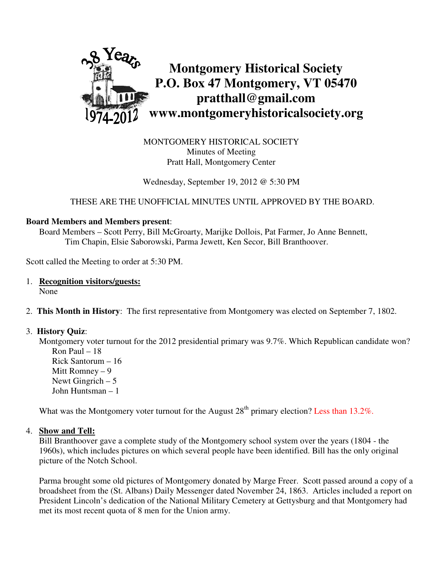

MONTGOMERY HISTORICAL SOCIETY Minutes of Meeting Pratt Hall, Montgomery Center

Wednesday, September 19, 2012 @ 5:30 PM

## THESE ARE THE UNOFFICIAL MINUTES UNTIL APPROVED BY THE BOARD.

#### **Board Members and Members present**:

Board Members – Scott Perry, Bill McGroarty, Marijke Dollois, Pat Farmer, Jo Anne Bennett, Tim Chapin, Elsie Saborowski, Parma Jewett, Ken Secor, Bill Branthoover.

Scott called the Meeting to order at 5:30 PM.

- 1. **Recognition visitors/guests:** None
- 2. **This Month in History**: The first representative from Montgomery was elected on September 7, 1802.

### 3. **History Quiz**:

 Montgomery voter turnout for the 2012 presidential primary was 9.7%. Which Republican candidate won? Ron Paul – 18

 Rick Santorum – 16 Mitt Romney – 9 Newt Gingrich  $-5$ John Huntsman – 1

What was the Montgomery voter turnout for the August  $28<sup>th</sup>$  primary election? Less than 13.2%.

### 4. **Show and Tell:**

 Bill Branthoover gave a complete study of the Montgomery school system over the years (1804 - the 1960s), which includes pictures on which several people have been identified. Bill has the only original picture of the Notch School.

 Parma brought some old pictures of Montgomery donated by Marge Freer. Scott passed around a copy of a broadsheet from the (St. Albans) Daily Messenger dated November 24, 1863. Articles included a report on President Lincoln's dedication of the National Military Cemetery at Gettysburg and that Montgomery had met its most recent quota of 8 men for the Union army.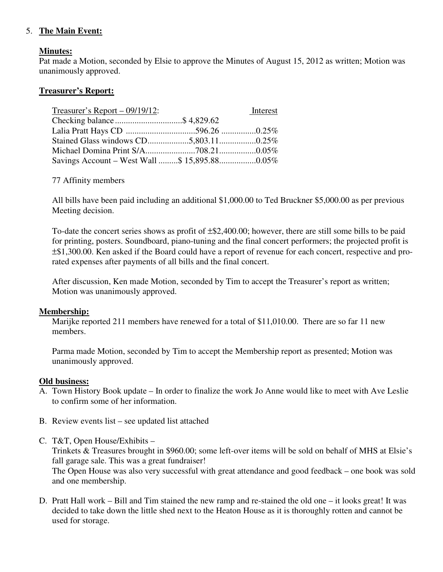## 5. **The Main Event:**

## **Minutes:**

Pat made a Motion, seconded by Elsie to approve the Minutes of August 15, 2012 as written; Motion was unanimously approved.

## **Treasurer's Report:**

| Treasurer's Report $-$ 09/19/12: | Interest |
|----------------------------------|----------|
| Checking balance\$ 4,829.62      |          |
|                                  |          |
|                                  |          |
|                                  |          |
|                                  |          |

### 77 Affinity members

All bills have been paid including an additional \$1,000.00 to Ted Bruckner \$5,000.00 as per previous Meeting decision.

To-date the concert series shows as profit of ±\$2,400.00; however, there are still some bills to be paid for printing, posters. Soundboard, piano-tuning and the final concert performers; the projected profit is ±\$1,300.00. Ken asked if the Board could have a report of revenue for each concert, respective and prorated expenses after payments of all bills and the final concert.

After discussion, Ken made Motion, seconded by Tim to accept the Treasurer's report as written; Motion was unanimously approved.

### **Membership:**

Marijke reported 211 members have renewed for a total of \$11,010.00. There are so far 11 new members.

Parma made Motion, seconded by Tim to accept the Membership report as presented; Motion was unanimously approved.

### **Old business:**

- A. Town History Book update In order to finalize the work Jo Anne would like to meet with Ave Leslie to confirm some of her information.
- B. Review events list see updated list attached
- C. T&T, Open House/Exhibits –

 Trinkets & Treasures brought in \$960.00; some left-over items will be sold on behalf of MHS at Elsie's fall garage sale. This was a great fundraiser! The Open House was also very successful with great attendance and good feedback – one book was sold

and one membership.

 D. Pratt Hall work – Bill and Tim stained the new ramp and re-stained the old one – it looks great! It was decided to take down the little shed next to the Heaton House as it is thoroughly rotten and cannot be used for storage.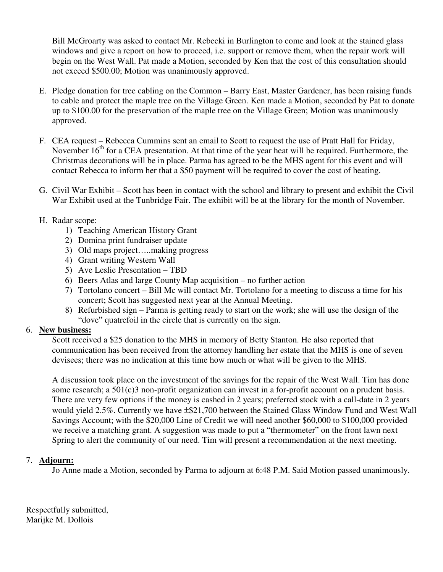Bill McGroarty was asked to contact Mr. Rebecki in Burlington to come and look at the stained glass windows and give a report on how to proceed, i.e. support or remove them, when the repair work will begin on the West Wall. Pat made a Motion, seconded by Ken that the cost of this consultation should not exceed \$500.00; Motion was unanimously approved.

- E. Pledge donation for tree cabling on the Common Barry East, Master Gardener, has been raising funds to cable and protect the maple tree on the Village Green. Ken made a Motion, seconded by Pat to donate up to \$100.00 for the preservation of the maple tree on the Village Green; Motion was unanimously approved.
- F. CEA request Rebecca Cummins sent an email to Scott to request the use of Pratt Hall for Friday, November  $16<sup>th</sup>$  for a CEA presentation. At that time of the year heat will be required. Furthermore, the Christmas decorations will be in place. Parma has agreed to be the MHS agent for this event and will contact Rebecca to inform her that a \$50 payment will be required to cover the cost of heating.
- G. Civil War Exhibit Scott has been in contact with the school and library to present and exhibit the Civil War Exhibit used at the Tunbridge Fair. The exhibit will be at the library for the month of November.
- H. Radar scope:
	- 1) Teaching American History Grant
	- 2) Domina print fundraiser update
	- 3) Old maps project…..making progress
	- 4) Grant writing Western Wall
	- 5) Ave Leslie Presentation TBD
	- 6) Beers Atlas and large County Map acquisition no further action
	- 7) Tortolano concert Bill Mc will contact Mr. Tortolano for a meeting to discuss a time for his concert; Scott has suggested next year at the Annual Meeting.
	- 8) Refurbished sign Parma is getting ready to start on the work; she will use the design of the "dove" quatrefoil in the circle that is currently on the sign.

### 6. **New business:**

Scott received a \$25 donation to the MHS in memory of Betty Stanton. He also reported that communication has been received from the attorney handling her estate that the MHS is one of seven devisees; there was no indication at this time how much or what will be given to the MHS.

A discussion took place on the investment of the savings for the repair of the West Wall. Tim has done some research; a 501(c)3 non-profit organization can invest in a for-profit account on a prudent basis. There are very few options if the money is cashed in 2 years; preferred stock with a call-date in 2 years would yield 2.5%. Currently we have ±\$21,700 between the Stained Glass Window Fund and West Wall Savings Account; with the \$20,000 Line of Credit we will need another \$60,000 to \$100,000 provided we receive a matching grant. A suggestion was made to put a "thermometer" on the front lawn next Spring to alert the community of our need. Tim will present a recommendation at the next meeting.

## 7. **Adjourn:**

Jo Anne made a Motion, seconded by Parma to adjourn at 6:48 P.M. Said Motion passed unanimously.

Respectfully submitted, Marijke M. Dollois